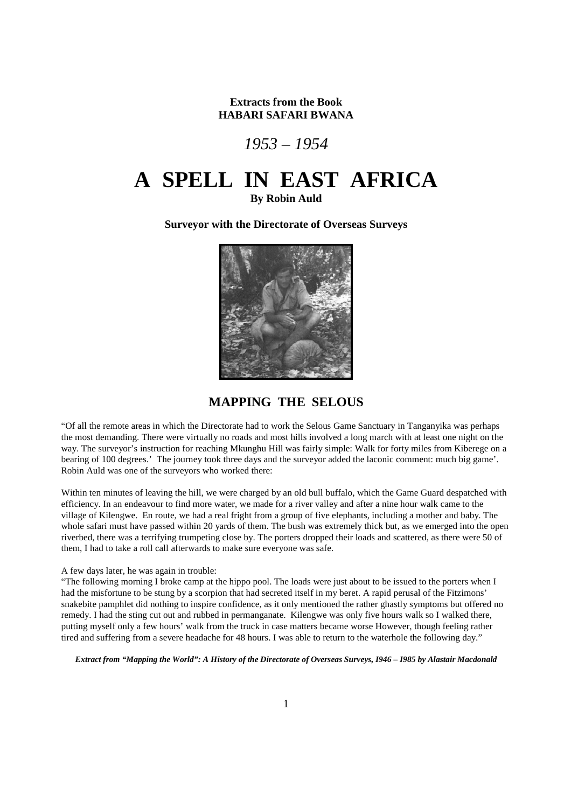**Extracts from the Book HABARI SAFARI BWANA** 

*1953 – 1954* 

# **A SPELL IN EAST AFRICA**

**By Robin Auld** 

**Surveyor with the Directorate of Overseas Surveys** 



**MAPPING THE SELOUS** 

"Of all the remote areas in which the Directorate had to work the Selous Game Sanctuary in Tanganyika was perhaps the most demanding. There were virtually no roads and most hills involved a long march with at least one night on the way. The surveyor's instruction for reaching Mkunghu Hill was fairly simple: Walk for forty miles from Kiberege on a bearing of 100 degrees.' The journey took three days and the surveyor added the laconic comment: much big game'. Robin Auld was one of the surveyors who worked there:

Within ten minutes of leaving the hill, we were charged by an old bull buffalo, which the Game Guard despatched with efficiency. In an endeavour to find more water, we made for a river valley and after a nine hour walk came to the village of Kilengwe. En route, we had a real fright from a group of five elephants, including a mother and baby. The whole safari must have passed within 20 yards of them. The bush was extremely thick but, as we emerged into the open riverbed, there was a terrifying trumpeting close by. The porters dropped their loads and scattered, as there were 50 of them, I had to take a roll call afterwards to make sure everyone was safe.

### A few days later, he was again in trouble:

"The following morning I broke camp at the hippo pool. The loads were just about to be issued to the porters when I had the misfortune to be stung by a scorpion that had secreted itself in my beret. A rapid perusal of the Fitzimons' snakebite pamphlet did nothing to inspire confidence, as it only mentioned the rather ghastly symptoms but offered no remedy. I had the sting cut out and rubbed in permanganate. Kilengwe was only five hours walk so I walked there, putting myself only a few hours' walk from the truck in case matters became worse However, though feeling rather tired and suffering from a severe headache for 48 hours. I was able to return to the waterhole the following day."

*Extract from "Mapping the World": A History of the Directorate of Overseas Surveys, I946 – I985 by Alastair Macdonald*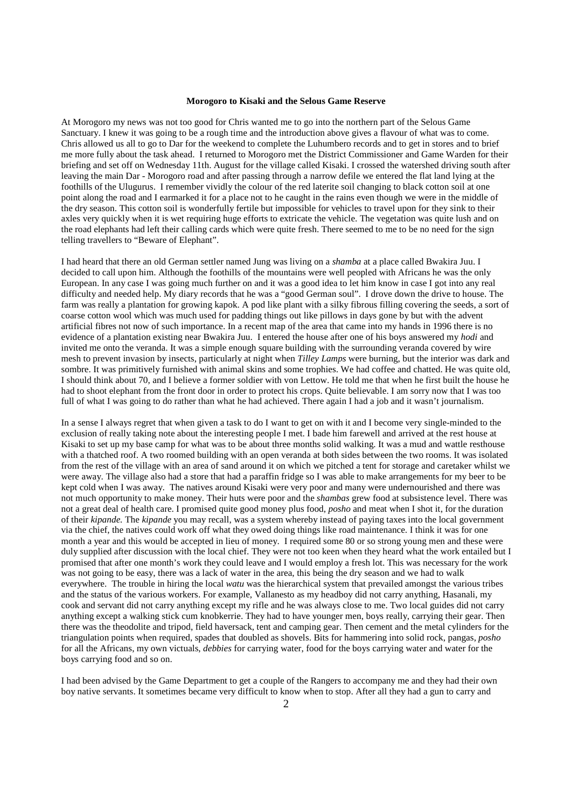#### **Morogoro to Kisaki and the Selous Game Reserve**

At Morogoro my news was not too good for Chris wanted me to go into the northern part of the Selous Game Sanctuary. I knew it was going to be a rough time and the introduction above gives a flavour of what was to come. Chris allowed us all to go to Dar for the weekend to complete the Luhumbero records and to get in stores and to brief me more fully about the task ahead. I returned to Morogoro met the District Commissioner and Game Warden for their briefing and set off on Wednesday 11th. August for the village called Kisaki. I crossed the watershed driving south after leaving the main Dar - Morogoro road and after passing through a narrow defile we entered the flat land lying at the foothills of the Ulugurus. I remember vividly the colour of the red laterite soil changing to black cotton soil at one point along the road and I earmarked it for a place not to he caught in the rains even though we were in the middle of the dry season. This cotton soil is wonderfully fertile but impossible for vehicles to travel upon for they sink to their axles very quickly when it is wet requiring huge efforts to extricate the vehicle. The vegetation was quite lush and on the road elephants had left their calling cards which were quite fresh. There seemed to me to be no need for the sign telling travellers to "Beware of Elephant".

I had heard that there an old German settler named Jung was living on a *shamba* at a place called Bwakira Juu. I decided to call upon him. Although the foothills of the mountains were well peopled with Africans he was the only European. In any case I was going much further on and it was a good idea to let him know in case I got into any real difficulty and needed help. My diary records that he was a "good German soul". I drove down the drive to house. The farm was really a plantation for growing kapok. A pod like plant with a silky fibrous filling covering the seeds, a sort of coarse cotton wool which was much used for padding things out like pillows in days gone by but with the advent artificial fibres not now of such importance. In a recent map of the area that came into my hands in 1996 there is no evidence of a plantation existing near Bwakira Juu. I entered the house after one of his boys answered my *hodi* and invited me onto the veranda. It was a simple enough square building with the surrounding veranda covered by wire mesh to prevent invasion by insects, particularly at night when *Tilley Lamps* were burning, but the interior was dark and sombre. It was primitively furnished with animal skins and some trophies. We had coffee and chatted. He was quite old, I should think about 70, and I believe a former soldier with von Lettow. He told me that when he first built the house he had to shoot elephant from the front door in order to protect his crops. Quite believable. I am sorry now that I was too full of what I was going to do rather than what he had achieved. There again I had a job and it wasn't journalism.

In a sense I always regret that when given a task to do I want to get on with it and I become very single-minded to the exclusion of really taking note about the interesting people I met. I bade him farewell and arrived at the rest house at Kisaki to set up my base camp for what was to be about three months solid walking. It was a mud and wattle resthouse with a thatched roof. A two roomed building with an open veranda at both sides between the two rooms. It was isolated from the rest of the village with an area of sand around it on which we pitched a tent for storage and caretaker whilst we were away. The village also had a store that had a paraffin fridge so I was able to make arrangements for my beer to be kept cold when I was away. The natives around Kisaki were very poor and many were undernourished and there was not much opportunity to make money. Their huts were poor and the *shambas* grew food at subsistence level. There was not a great deal of health care. I promised quite good money plus food, *posho* and meat when I shot it, for the duration of their *kipande.* The *kipande* you may recall, was a system whereby instead of paying taxes into the local government via the chief, the natives could work off what they owed doing things like road maintenance. I think it was for one month a year and this would be accepted in lieu of money. I required some 80 or so strong young men and these were duly supplied after discussion with the local chief. They were not too keen when they heard what the work entailed but I promised that after one month's work they could leave and I would employ a fresh lot. This was necessary for the work was not going to be easy, there was a lack of water in the area, this being the dry season and we had to walk everywhere. The trouble in hiring the local *watu* was the hierarchical system that prevailed amongst the various tribes and the status of the various workers. For example, Vallanesto as my headboy did not carry anything, Hasanali, my cook and servant did not carry anything except my rifle and he was always close to me. Two local guides did not carry anything except a walking stick cum knobkerrie. They had to have younger men, boys really, carrying their gear. Then there was the theodolite and tripod, field haversack, tent and camping gear. Then cement and the metal cylinders for the triangulation points when required, spades that doubled as shovels. Bits for hammering into solid rock, pangas, *posho*  for all the Africans, my own victuals, *debbies* for carrying water, food for the boys carrying water and water for the boys carrying food and so on.

I had been advised by the Game Department to get a couple of the Rangers to accompany me and they had their own boy native servants. It sometimes became very difficult to know when to stop. After all they had a gun to carry and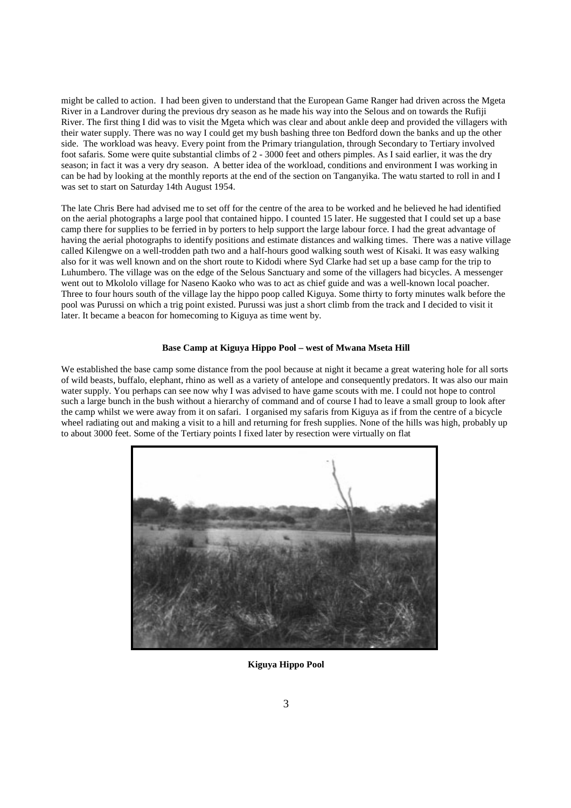might be called to action. I had been given to understand that the European Game Ranger had driven across the Mgeta River in a Landrover during the previous dry season as he made his way into the Selous and on towards the Rufiji River. The first thing I did was to visit the Mgeta which was clear and about ankle deep and provided the villagers with their water supply. There was no way I could get my bush bashing three ton Bedford down the banks and up the other side. The workload was heavy. Every point from the Primary triangulation, through Secondary to Tertiary involved foot safaris. Some were quite substantial climbs of 2 - 3000 feet and others pimples. As I said earlier, it was the dry season; in fact it was a very dry season. A better idea of the workload, conditions and environment I was working in can be had by looking at the monthly reports at the end of the section on Tanganyika. The watu started to roll in and I was set to start on Saturday 14th August 1954.

The late Chris Bere had advised me to set off for the centre of the area to be worked and he believed he had identified on the aerial photographs a large pool that contained hippo. I counted 15 later. He suggested that I could set up a base camp there for supplies to be ferried in by porters to help support the large labour force. I had the great advantage of having the aerial photographs to identify positions and estimate distances and walking times. There was a native village called Kilengwe on a well-trodden path two and a half-hours good walking south west of Kisaki. It was easy walking also for it was well known and on the short route to Kidodi where Syd Clarke had set up a base camp for the trip to Luhumbero. The village was on the edge of the Selous Sanctuary and some of the villagers had bicycles. A messenger went out to Mkololo village for Naseno Kaoko who was to act as chief guide and was a well-known local poacher. Three to four hours south of the village lay the hippo poop called Kiguya. Some thirty to forty minutes walk before the pool was Purussi on which a trig point existed. Purussi was just a short climb from the track and I decided to visit it later. It became a beacon for homecoming to Kiguya as time went by.

## **Base Camp at Kiguya Hippo Pool – west of Mwana Mseta Hill**

We established the base camp some distance from the pool because at night it became a great watering hole for all sorts of wild beasts, buffalo, elephant, rhino as well as a variety of antelope and consequently predators. It was also our main water supply. You perhaps can see now why I was advised to have game scouts with me. I could not hope to control such a large bunch in the bush without a hierarchy of command and of course I had to leave a small group to look after the camp whilst we were away from it on safari. I organised my safaris from Kiguya as if from the centre of a bicycle wheel radiating out and making a visit to a hill and returning for fresh supplies. None of the hills was high, probably up to about 3000 feet. Some of the Tertiary points I fixed later by resection were virtually on flat



**Kiguya Hippo Pool**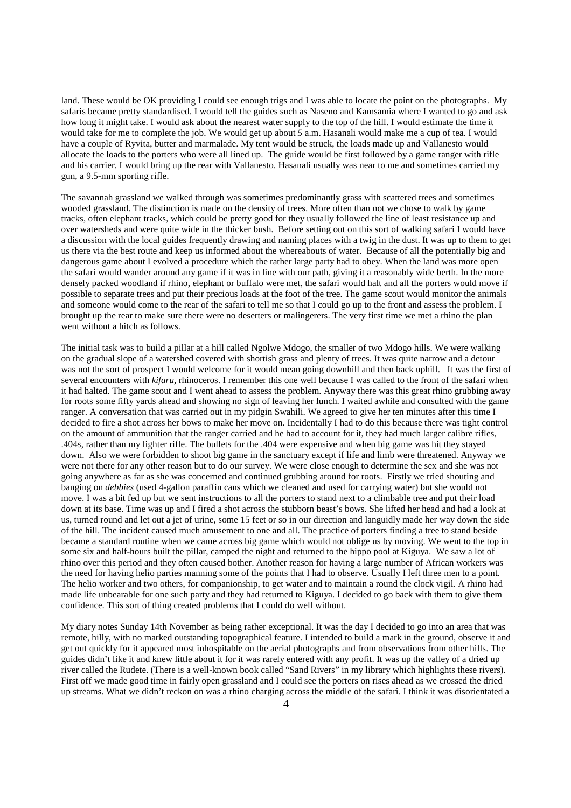land. These would be OK providing I could see enough trigs and I was able to locate the point on the photographs. My safaris became pretty standardised. I would tell the guides such as Naseno and Kamsamia where I wanted to go and ask how long it might take. I would ask about the nearest water supply to the top of the hill. I would estimate the time it would take for me to complete the job. We would get up about *5* a.m. Hasanali would make me a cup of tea. I would have a couple of Ryvita, butter and marmalade. My tent would be struck, the loads made up and Vallanesto would allocate the loads to the porters who were all lined up. The guide would be first followed by a game ranger with rifle and his carrier. I would bring up the rear with Vallanesto. Hasanali usually was near to me and sometimes carried my gun, a 9.5-mm sporting rifle.

The savannah grassland we walked through was sometimes predominantly grass with scattered trees and sometimes wooded grassland. The distinction is made on the density of trees. More often than not we chose to walk by game tracks, often elephant tracks, which could be pretty good for they usually followed the line of least resistance up and over watersheds and were quite wide in the thicker bush. Before setting out on this sort of walking safari I would have a discussion with the local guides frequently drawing and naming places with a twig in the dust. It was up to them to get us there via the best route and keep us informed about the whereabouts of water. Because of all the potentially big and dangerous game about I evolved a procedure which the rather large party had to obey. When the land was more open the safari would wander around any game if it was in line with our path, giving it a reasonably wide berth. In the more densely packed woodland if rhino, elephant or buffalo were met, the safari would halt and all the porters would move if possible to separate trees and put their precious loads at the foot of the tree. The game scout would monitor the animals and someone would come to the rear of the safari to tell me so that I could go up to the front and assess the problem. I brought up the rear to make sure there were no deserters or malingerers. The very first time we met a rhino the plan went without a hitch as follows.

The initial task was to build a pillar at a hill called Ngolwe Mdogo, the smaller of two Mdogo hills. We were walking on the gradual slope of a watershed covered with shortish grass and plenty of trees. It was quite narrow and a detour was not the sort of prospect I would welcome for it would mean going downhill and then back uphill. It was the first of several encounters with *kifaru,* rhinoceros. I remember this one well because I was called to the front of the safari when it had halted. The game scout and I went ahead to assess the problem. Anyway there was this great rhino grubbing away for roots some fifty yards ahead and showing no sign of leaving her lunch. I waited awhile and consulted with the game ranger. A conversation that was carried out in my pidgin Swahili. We agreed to give her ten minutes after this time I decided to fire a shot across her bows to make her move on. Incidentally I had to do this because there was tight control on the amount of ammunition that the ranger carried and he had to account for it, they had much larger calibre rifles, .404s, rather than my lighter rifle. The bullets for the .404 were expensive and when big game was hit they stayed down. Also we were forbidden to shoot big game in the sanctuary except if life and limb were threatened. Anyway we were not there for any other reason but to do our survey. We were close enough to determine the sex and she was not going anywhere as far as she was concerned and continued grubbing around for roots. Firstly we tried shouting and banging on *debbies* (used 4-gallon paraffin cans which we cleaned and used for carrying water) but she would not move. I was a bit fed up but we sent instructions to all the porters to stand next to a climbable tree and put their load down at its base. Time was up and I fired a shot across the stubborn beast's bows. She lifted her head and had a look at us, turned round and let out a jet of urine, some 15 feet or so in our direction and languidly made her way down the side of the hill. The incident caused much amusement to one and all. The practice of porters finding a tree to stand beside became a standard routine when we came across big game which would not oblige us by moving. We went to the top in some six and half-hours built the pillar, camped the night and returned to the hippo pool at Kiguya. We saw a lot of rhino over this period and they often caused bother. Another reason for having a large number of African workers was the need for having helio parties manning some of the points that I had to observe. Usually I left three men to a point. The helio worker and two others, for companionship, to get water and to maintain a round the clock vigil. A rhino had made life unbearable for one such party and they had returned to Kiguya. I decided to go back with them to give them confidence. This sort of thing created problems that I could do well without.

My diary notes Sunday 14th November as being rather exceptional. It was the day I decided to go into an area that was remote, hilly, with no marked outstanding topographical feature. I intended to build a mark in the ground, observe it and get out quickly for it appeared most inhospitable on the aerial photographs and from observations from other hills. The guides didn't like it and knew little about it for it was rarely entered with any profit. It was up the valley of a dried up river called the Rudete. (There is a well-known book called "Sand Rivers" in my library which highlights these rivers). First off we made good time in fairly open grassland and I could see the porters on rises ahead as we crossed the dried up streams. What we didn't reckon on was a rhino charging across the middle of the safari. I think it was disorientated a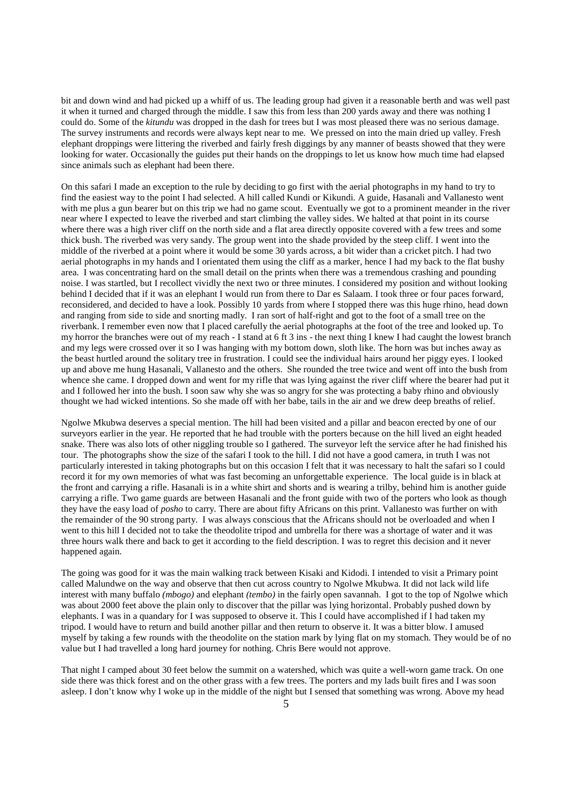bit and down wind and had picked up a whiff of us. The leading group had given it a reasonable berth and was well past it when it turned and charged through the middle. I saw this from less than 200 yards away and there was nothing I could do. Some of the *kitundu* was dropped in the dash for trees but I was most pleased there was no serious damage. The survey instruments and records were always kept near to me. We pressed on into the main dried up valley. Fresh elephant droppings were littering the riverbed and fairly fresh diggings by any manner of beasts showed that they were looking for water. Occasionally the guides put their hands on the droppings to let us know how much time had elapsed since animals such as elephant had been there.

On this safari I made an exception to the rule by deciding to go first with the aerial photographs in my hand to try to find the easiest way to the point I had selected. A hill called Kundi or Kikundi. A guide, Hasanali and Vallanesto went with me plus a gun bearer but on this trip we had no game scout. Eventually we got to a prominent meander in the river near where I expected to leave the riverbed and start climbing the valley sides. We halted at that point in its course where there was a high river cliff on the north side and a flat area directly opposite covered with a few trees and some thick bush. The riverbed was very sandy. The group went into the shade provided by the steep cliff. I went into the middle of the riverbed at a point where it would be some 30 yards across, a bit wider than a cricket pitch. I had two aerial photographs in my hands and I orientated them using the cliff as a marker, hence I had my back to the flat bushy area. I was concentrating hard on the small detail on the prints when there was a tremendous crashing and pounding noise. I was startled, but I recollect vividly the next two or three minutes. I considered my position and without looking behind I decided that if it was an elephant I would run from there to Dar es Salaam. I took three or four paces forward, reconsidered, and decided to have a look. Possibly 10 yards from where I stopped there was this huge rhino, head down and ranging from side to side and snorting madly. I ran sort of half-right and got to the foot of a small tree on the riverbank. I remember even now that I placed carefully the aerial photographs at the foot of the tree and looked up. To my horror the branches were out of my reach - I stand at 6 ft 3 ins - the next thing I knew I had caught the lowest branch and my legs were crossed over it so I was hanging with my bottom down, sloth like. The horn was but inches away as the beast hurtled around the solitary tree in frustration. I could see the individual hairs around her piggy eyes. I looked up and above me hung Hasanali, Vallanesto and the others. She rounded the tree twice and went off into the bush from whence she came. I dropped down and went for my rifle that was lying against the river cliff where the bearer had put it and I followed her into the bush. I soon saw why she was so angry for she was protecting a baby rhino and obviously thought we had wicked intentions. So she made off with her babe, tails in the air and we drew deep breaths of relief.

Ngolwe Mkubwa deserves a special mention. The hill had been visited and a pillar and beacon erected by one of our surveyors earlier in the year. He reported that he had trouble with the porters because on the hill lived an eight headed snake. There was also lots of other niggling trouble so I gathered. The surveyor left the service after he had finished his tour. The photographs show the size of the safari I took to the hill. I did not have a good camera, in truth I was not particularly interested in taking photographs but on this occasion I felt that it was necessary to halt the safari so I could record it for my own memories of what was fast becoming an unforgettable experience. The local guide is in black at the front and carrying a rifle. Hasanali is in a white shirt and shorts and is wearing a trilby, behind him is another guide carrying a rifle. Two game guards are between Hasanali and the front guide with two of the porters who look as though they have the easy load of *posho* to carry. There are about fifty Africans on this print. Vallanesto was further on with the remainder of the 90 strong party. I was always conscious that the Africans should not be overloaded and when I went to this hill I decided not to take the theodolite tripod and umbrella for there was a shortage of water and it was three hours walk there and back to get it according to the field description. I was to regret this decision and it never happened again.

The going was good for it was the main walking track between Kisaki and Kidodi. I intended to visit a Primary point called Malundwe on the way and observe that then cut across country to Ngolwe Mkubwa. It did not lack wild life interest with many buffalo *(mbogo)* and elephant *(tembo)* in the fairly open savannah. I got to the top of Ngolwe which was about 2000 feet above the plain only to discover that the pillar was lying horizontal. Probably pushed down by elephants. I was in a quandary for I was supposed to observe it. This I could have accomplished if I had taken my tripod. I would have to return and build another pillar and then return to observe it. It was a bitter blow. I amused myself by taking a few rounds with the theodolite on the station mark by lying flat on my stomach. They would be of no value but I had travelled a long hard journey for nothing. Chris Bere would not approve.

That night I camped about 30 feet below the summit on a watershed, which was quite a well-worn game track. On one side there was thick forest and on the other grass with a few trees. The porters and my lads built fires and I was soon asleep. I don't know why I woke up in the middle of the night but I sensed that something was wrong. Above my head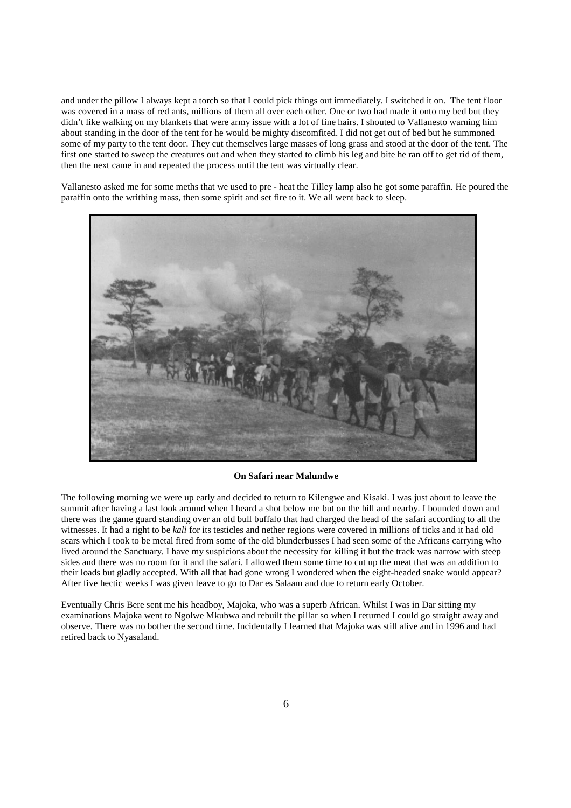and under the pillow I always kept a torch so that I could pick things out immediately. I switched it on. The tent floor was covered in a mass of red ants, millions of them all over each other. One or two had made it onto my bed but they didn't like walking on my blankets that were army issue with a lot of fine hairs. I shouted to Vallanesto warning him about standing in the door of the tent for he would be mighty discomfited. I did not get out of bed but he summoned some of my party to the tent door. They cut themselves large masses of long grass and stood at the door of the tent. The first one started to sweep the creatures out and when they started to climb his leg and bite he ran off to get rid of them, then the next came in and repeated the process until the tent was virtually clear.

Vallanesto asked me for some meths that we used to pre - heat the Tilley lamp also he got some paraffin. He poured the paraffin onto the writhing mass, then some spirit and set fire to it. We all went back to sleep.



#### **On Safari near Malundwe**

The following morning we were up early and decided to return to Kilengwe and Kisaki. I was just about to leave the summit after having a last look around when I heard a shot below me but on the hill and nearby. I bounded down and there was the game guard standing over an old bull buffalo that had charged the head of the safari according to all the witnesses. It had a right to be *kali* for its testicles and nether regions were covered in millions of ticks and it had old scars which I took to be metal fired from some of the old blunderbusses I had seen some of the Africans carrying who lived around the Sanctuary. I have my suspicions about the necessity for killing it but the track was narrow with steep sides and there was no room for it and the safari. I allowed them some time to cut up the meat that was an addition to their loads but gladly accepted. With all that had gone wrong I wondered when the eight-headed snake would appear? After five hectic weeks I was given leave to go to Dar es Salaam and due to return early October.

Eventually Chris Bere sent me his headboy, Majoka, who was a superb African. Whilst I was in Dar sitting my examinations Majoka went to Ngolwe Mkubwa and rebuilt the pillar so when I returned I could go straight away and observe. There was no bother the second time. Incidentally I learned that Majoka was still alive and in 1996 and had retired back to Nyasaland.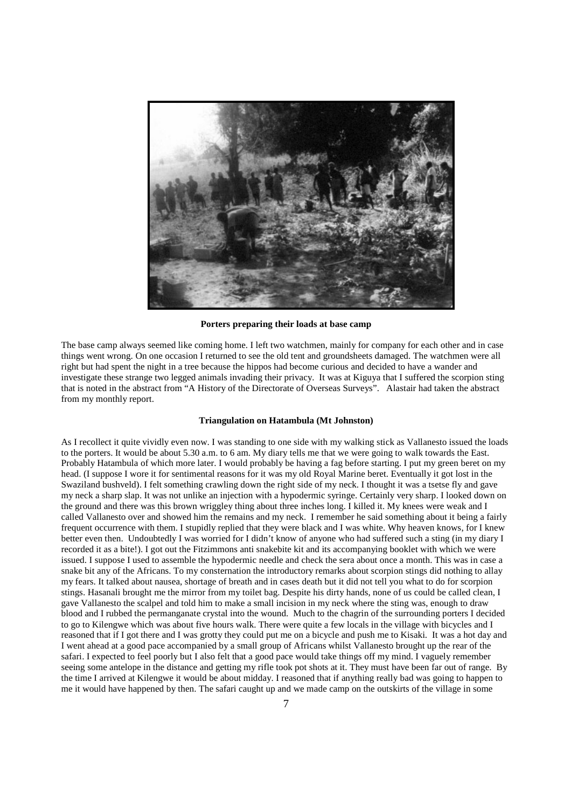

#### **Porters preparing their loads at base camp**

The base camp always seemed like coming home. I left two watchmen, mainly for company for each other and in case things went wrong. On one occasion I returned to see the old tent and groundsheets damaged. The watchmen were all right but had spent the night in a tree because the hippos had become curious and decided to have a wander and investigate these strange two legged animals invading their privacy. It was at Kiguya that I suffered the scorpion sting that is noted in the abstract from "A History of the Directorate of Overseas Surveys". Alastair had taken the abstract from my monthly report.

#### **Triangulation on Hatambula (Mt Johnston)**

As I recollect it quite vividly even now. I was standing to one side with my walking stick as Vallanesto issued the loads to the porters. It would be about 5.30 a.m. to 6 am. My diary tells me that we were going to walk towards the East. Probably Hatambula of which more later. I would probably be having a fag before starting. I put my green beret on my head. (I suppose I wore it for sentimental reasons for it was my old Royal Marine beret. Eventually it got lost in the Swaziland bushveld). I felt something crawling down the right side of my neck. I thought it was a tsetse fly and gave my neck a sharp slap. It was not unlike an injection with a hypodermic syringe. Certainly very sharp. I looked down on the ground and there was this brown wriggley thing about three inches long. I killed it. My knees were weak and I called Vallanesto over and showed him the remains and my neck. I remember he said something about it being a fairly frequent occurrence with them. I stupidly replied that they were black and I was white. Why heaven knows, for I knew better even then. Undoubtedly I was worried for I didn't know of anyone who had suffered such a sting (in my diary I recorded it as a bite!). I got out the Fitzimmons anti snakebite kit and its accompanying booklet with which we were issued. I suppose I used to assemble the hypodermic needle and check the sera about once a month. This was in case a snake bit any of the Africans. To my consternation the introductory remarks about scorpion stings did nothing to allay my fears. It talked about nausea, shortage of breath and in cases death but it did not tell you what to do for scorpion stings. Hasanali brought me the mirror from my toilet bag. Despite his dirty hands, none of us could be called clean, I gave Vallanesto the scalpel and told him to make a small incision in my neck where the sting was, enough to draw blood and I rubbed the permanganate crystal into the wound. Much to the chagrin of the surrounding porters I decided to go to Kilengwe which was about five hours walk. There were quite a few locals in the village with bicycles and I reasoned that if I got there and I was grotty they could put me on a bicycle and push me to Kisaki. It was a hot day and I went ahead at a good pace accompanied by a small group of Africans whilst Vallanesto brought up the rear of the safari. I expected to feel poorly but I also felt that a good pace would take things off my mind. I vaguely remember seeing some antelope in the distance and getting my rifle took pot shots at it. They must have been far out of range. By the time I arrived at Kilengwe it would be about midday. I reasoned that if anything really bad was going to happen to me it would have happened by then. The safari caught up and we made camp on the outskirts of the village in some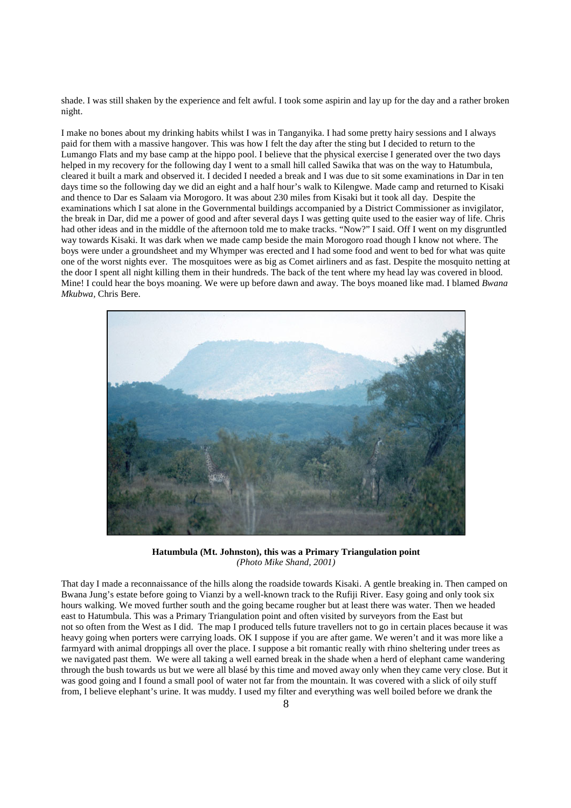shade. I was still shaken by the experience and felt awful. I took some aspirin and lay up for the day and a rather broken night.

I make no bones about my drinking habits whilst I was in Tanganyika. I had some pretty hairy sessions and I always paid for them with a massive hangover. This was how I felt the day after the sting but I decided to return to the Lumango Flats and my base camp at the hippo pool. I believe that the physical exercise I generated over the two days helped in my recovery for the following day I went to a small hill called Sawika that was on the way to Hatumbula, cleared it built a mark and observed it. I decided I needed a break and I was due to sit some examinations in Dar in ten days time so the following day we did an eight and a half hour's walk to Kilengwe. Made camp and returned to Kisaki and thence to Dar es Salaam via Morogoro. It was about 230 miles from Kisaki but it took all day. Despite the examinations which I sat alone in the Governmental buildings accompanied by a District Commissioner as invigilator, the break in Dar, did me a power of good and after several days I was getting quite used to the easier way of life. Chris had other ideas and in the middle of the afternoon told me to make tracks. "Now?" I said. Off I went on my disgruntled way towards Kisaki. It was dark when we made camp beside the main Morogoro road though I know not where. The boys were under a groundsheet and my Whymper was erected and I had some food and went to bed for what was quite one of the worst nights ever. The mosquitoes were as big as Comet airliners and as fast. Despite the mosquito netting at the door I spent all night killing them in their hundreds. The back of the tent where my head lay was covered in blood. Mine! I could hear the boys moaning. We were up before dawn and away. The boys moaned like mad. I blamed *Bwana Mkubwa,* Chris Bere.



**Hatumbula (Mt. Johnston), this was a Primary Triangulation point**  *(Photo Mike Shand, 2001)* 

That day I made a reconnaissance of the hills along the roadside towards Kisaki. A gentle breaking in. Then camped on Bwana Jung's estate before going to Vianzi by a well-known track to the Rufiji River. Easy going and only took six hours walking. We moved further south and the going became rougher but at least there was water. Then we headed east to Hatumbula. This was a Primary Triangulation point and often visited by surveyors from the East but not so often from the West as I did. The map I produced tells future travellers not to go in certain places because it was heavy going when porters were carrying loads. OK I suppose if you are after game. We weren't and it was more like a farmyard with animal droppings all over the place. I suppose a bit romantic really with rhino sheltering under trees as we navigated past them. We were all taking a well earned break in the shade when a herd of elephant came wandering through the bush towards us but we were all blasé by this time and moved away only when they came very close. But it was good going and I found a small pool of water not far from the mountain. It was covered with a slick of oily stuff from, I believe elephant's urine. It was muddy. I used my filter and everything was well boiled before we drank the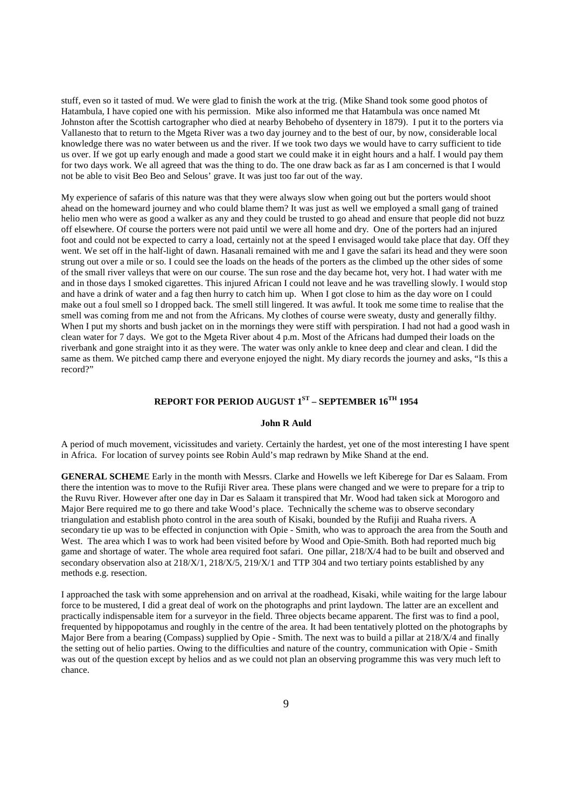stuff, even so it tasted of mud. We were glad to finish the work at the trig. (Mike Shand took some good photos of Hatambula, I have copied one with his permission. Mike also informed me that Hatambula was once named Mt Johnston after the Scottish cartographer who died at nearby Behobeho of dysentery in 1879). I put it to the porters via Vallanesto that to return to the Mgeta River was a two day journey and to the best of our, by now, considerable local knowledge there was no water between us and the river. If we took two days we would have to carry sufficient to tide us over. If we got up early enough and made a good start we could make it in eight hours and a half. I would pay them for two days work. We all agreed that was the thing to do. The one draw back as far as I am concerned is that I would not be able to visit Beo Beo and Selous' grave. It was just too far out of the way.

My experience of safaris of this nature was that they were always slow when going out but the porters would shoot ahead on the homeward journey and who could blame them? It was just as well we employed a small gang of trained helio men who were as good a walker as any and they could be trusted to go ahead and ensure that people did not buzz off elsewhere. Of course the porters were not paid until we were all home and dry. One of the porters had an injured foot and could not be expected to carry a load, certainly not at the speed I envisaged would take place that day. Off they went. We set off in the half-light of dawn. Hasanali remained with me and I gave the safari its head and they were soon strung out over a mile or so. I could see the loads on the heads of the porters as the climbed up the other sides of some of the small river valleys that were on our course. The sun rose and the day became hot, very hot. I had water with me and in those days I smoked cigarettes. This injured African I could not leave and he was travelling slowly. I would stop and have a drink of water and a fag then hurry to catch him up. When I got close to him as the day wore on I could make out a foul smell so I dropped back. The smell still lingered. It was awful. It took me some time to realise that the smell was coming from me and not from the Africans. My clothes of course were sweaty, dusty and generally filthy. When I put my shorts and bush jacket on in the mornings they were stiff with perspiration. I had not had a good wash in clean water for 7 days. We got to the Mgeta River about 4 p.m. Most of the Africans had dumped their loads on the riverbank and gone straight into it as they were. The water was only ankle to knee deep and clear and clean. I did the same as them. We pitched camp there and everyone enjoyed the night. My diary records the journey and asks, "Is this a record?"

## **REPORT FOR PERIOD AUGUST 1ST – SEPTEMBER 16TH 1954**

#### **John R Auld**

A period of much movement, vicissitudes and variety. Certainly the hardest, yet one of the most interesting I have spent in Africa. For location of survey points see Robin Auld's map redrawn by Mike Shand at the end.

**GENERAL SCHEM**E Early in the month with Messrs. Clarke and Howells we left Kiberege for Dar es Salaam. From there the intention was to move to the Rufiji River area. These plans were changed and we were to prepare for a trip to the Ruvu River. However after one day in Dar es Salaam it transpired that Mr. Wood had taken sick at Morogoro and Major Bere required me to go there and take Wood's place. Technically the scheme was to observe secondary triangulation and establish photo control in the area south of Kisaki, bounded by the Rufiji and Ruaha rivers. A secondary tie up was to be effected in conjunction with Opie - Smith, who was to approach the area from the South and West. The area which I was to work had been visited before by Wood and Opie-Smith. Both had reported much big game and shortage of water. The whole area required foot safari. One pillar, 218/X/4 had to be built and observed and secondary observation also at 218/X/1, 218/X/5, 219/X/1 and TTP 304 and two tertiary points established by any methods e.g. resection.

I approached the task with some apprehension and on arrival at the roadhead, Kisaki, while waiting for the large labour force to be mustered, I did a great deal of work on the photographs and print laydown. The latter are an excellent and practically indispensable item for a surveyor in the field. Three objects became apparent. The first was to find a pool, frequented by hippopotamus and roughly in the centre of the area. It had been tentatively plotted on the photographs by Major Bere from a bearing (Compass) supplied by Opie - Smith. The next was to build a pillar at 218/X/4 and finally the setting out of helio parties. Owing to the difficulties and nature of the country, communication with Opie - Smith was out of the question except by helios and as we could not plan an observing programme this was very much left to chance.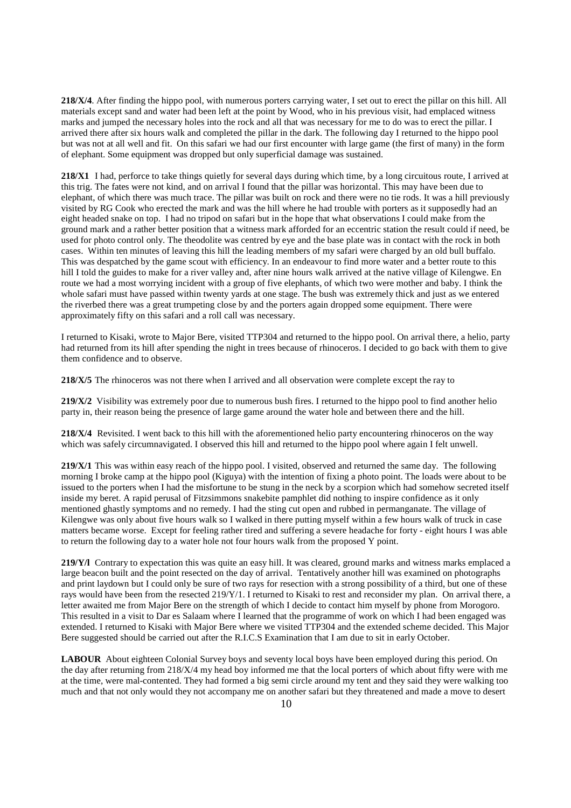**218/X/4**. After finding the hippo pool, with numerous porters carrying water, I set out to erect the pillar on this hill. All materials except sand and water had been left at the point by Wood, who in his previous visit, had emplaced witness marks and jumped the necessary holes into the rock and all that was necessary for me to do was to erect the pillar. I arrived there after six hours walk and completed the pillar in the dark. The following day I returned to the hippo pool but was not at all well and fit. On this safari we had our first encounter with large game (the first of many) in the form of elephant. Some equipment was dropped but only superficial damage was sustained.

**218/X1** I had, perforce to take things quietly for several days during which time, by a long circuitous route, I arrived at this trig. The fates were not kind, and on arrival I found that the pillar was horizontal. This may have been due to elephant, of which there was much trace. The pillar was built on rock and there were no tie rods. It was a hill previously visited by RG Cook who erected the mark and was the hill where he had trouble with porters as it supposedly had an eight headed snake on top. I had no tripod on safari but in the hope that what observations I could make from the ground mark and a rather better position that a witness mark afforded for an eccentric station the result could if need, be used for photo control only. The theodolite was centred by eye and the base plate was in contact with the rock in both cases. Within ten minutes of leaving this hill the leading members of my safari were charged by an old bull buffalo. This was despatched by the game scout with efficiency. In an endeavour to find more water and a better route to this hill I told the guides to make for a river valley and, after nine hours walk arrived at the native village of Kilengwe. En route we had a most worrying incident with a group of five elephants, of which two were mother and baby. I think the whole safari must have passed within twenty yards at one stage. The bush was extremely thick and just as we entered the riverbed there was a great trumpeting close by and the porters again dropped some equipment. There were approximately fifty on this safari and a roll call was necessary.

I returned to Kisaki, wrote to Major Bere, visited TTP304 and returned to the hippo pool. On arrival there, a helio, party had returned from its hill after spending the night in trees because of rhinoceros. I decided to go back with them to give them confidence and to observe.

**218/X/5** The rhinoceros was not there when I arrived and all observation were complete except the ray to

**219/X/2** Visibility was extremely poor due to numerous bush fires. I returned to the hippo pool to find another helio party in, their reason being the presence of large game around the water hole and between there and the hill.

**218/X/4** Revisited. I went back to this hill with the aforementioned helio party encountering rhinoceros on the way which was safely circumnavigated. I observed this hill and returned to the hippo pool where again I felt unwell.

**219/X/1** This was within easy reach of the hippo pool. I visited, observed and returned the same day. The following morning I broke camp at the hippo pool (Kiguya) with the intention of fixing a photo point. The loads were about to be issued to the porters when I had the misfortune to be stung in the neck by a scorpion which had somehow secreted itself inside my beret. A rapid perusal of Fitzsimmons snakebite pamphlet did nothing to inspire confidence as it only mentioned ghastly symptoms and no remedy. I had the sting cut open and rubbed in permanganate. The village of Kilengwe was only about five hours walk so I walked in there putting myself within a few hours walk of truck in case matters became worse. Except for feeling rather tired and suffering a severe headache for forty - eight hours I was able to return the following day to a water hole not four hours walk from the proposed Y point.

**219/Y/l** Contrary to expectation this was quite an easy hill. It was cleared, ground marks and witness marks emplaced a large beacon built and the point resected on the day of arrival. Tentatively another hill was examined on photographs and print laydown but I could only be sure of two rays for resection with a strong possibility of a third, but one of these rays would have been from the resected 219/Y/1. I returned to Kisaki to rest and reconsider my plan. On arrival there, a letter awaited me from Major Bere on the strength of which I decide to contact him myself by phone from Morogoro. This resulted in a visit to Dar es Salaam where I learned that the programme of work on which I had been engaged was extended. I returned to Kisaki with Major Bere where we visited TTP304 and the extended scheme decided. This Major Bere suggested should be carried out after the R.I.C.S Examination that I am due to sit in early October.

**LABOUR** About eighteen Colonial Survey boys and seventy local boys have been employed during this period. On the day after returning from 218/X/4 my head boy informed me that the local porters of which about fifty were with me at the time, were mal-contented. They had formed a big semi circle around my tent and they said they were walking too much and that not only would they not accompany me on another safari but they threatened and made a move to desert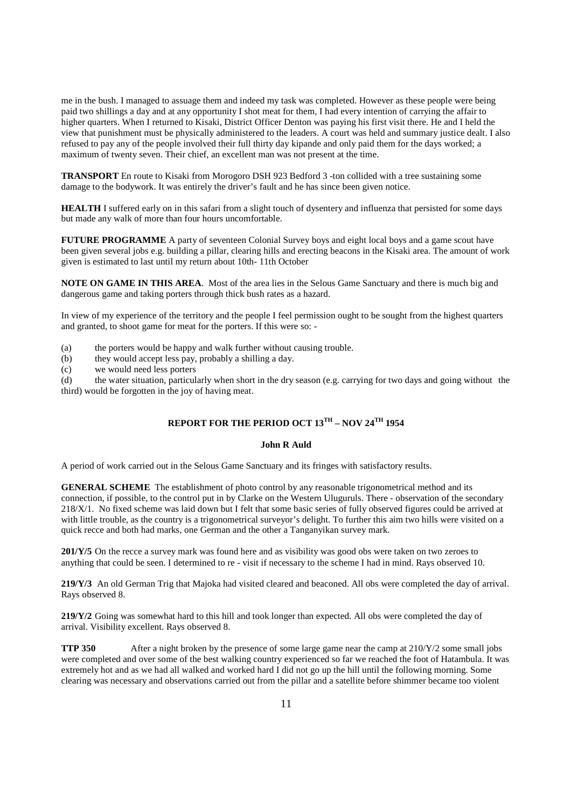me in the bush. I managed to assuage them and indeed my task was completed. However as these people were being paid two shillings a day and at any opportunity I shot meat for them, I had every intention of carrying the affair to higher quarters. When I returned to Kisaki, District Officer Denton was paying his first visit there. He and I held the view that punishment must be physically administered to the leaders. A court was held and summary justice dealt. I also refused to pay any of the people involved their full thirty day kipande and only paid them for the days worked; a maximum of twenty seven. Their chief, an excellent man was not present at the time.

**TRANSPORT** En route to Kisaki from Morogoro DSH 923 Bedford 3 -ton collided with a tree sustaining some damage to the bodywork. It was entirely the driver's fault and he has since been given notice.

**HEALTH** I suffered early on in this safari from a slight touch of dysentery and influenza that persisted for some days but made any walk of more than four hours uncomfortable.

**FUTURE PROGRAMME** A party of seventeen Colonial Survey boys and eight local boys and a game scout have been given several jobs e.g. building a pillar, clearing hills and erecting beacons in the Kisaki area. The amount of work given is estimated to last until my return about 10th- 11th October

**NOTE ON GAME IN THIS AREA**. Most of the area lies in the Selous Game Sanctuary and there is much big and dangerous game and taking porters through thick bush rates as a hazard.

In view of my experience of the territory and the people I feel permission ought to be sought from the highest quarters and granted, to shoot game for meat for the porters. If this were so: -

- (a) the porters would be happy and walk further without causing trouble.
- (b) they would accept less pay, probably a shilling a day.
- (c) we would need less porters<br>(d) the water situation, particul

the water situation, particularly when short in the dry season (e.g. carrying for two days and going without the third) would be forgotten in the joy of having meat.

## **REPORT FOR THE PERIOD OCT 13TH – NOV 24TH 1954**

#### **John R Auld**

A period of work carried out in the Selous Game Sanctuary and its fringes with satisfactory results.

**GENERAL SCHEME** The establishment of photo control by any reasonable trigonometrical method and its connection, if possible, to the control put in by Clarke on the Western Uluguruls. There - observation of the secondary 218/X/1. No fixed scheme was laid down but I felt that some basic series of fully observed figures could be arrived at with little trouble, as the country is a trigonometrical surveyor's delight. To further this aim two hills were visited on a quick recce and both had marks, one German and the other a Tanganyikan survey mark.

**201/Y/5** On the recce a survey mark was found here and as visibility was good obs were taken on two zeroes to anything that could be seen. I determined to re - visit if necessary to the scheme I had in mind. Rays observed 10.

**219/Y/3** An old German Trig that Majoka had visited cleared and beaconed. All obs were completed the day of arrival. Rays observed 8.

**219/Y/2** Going was somewhat hard to this hill and took longer than expected. All obs were completed the day of arrival. Visibility excellent. Rays observed 8.

**TTP 350** After a night broken by the presence of some large game near the camp at 210/Y/2 some small jobs were completed and over some of the best walking country experienced so far we reached the foot of Hatambula. It was extremely hot and as we had all walked and worked hard I did not go up the hill until the following morning. Some clearing was necessary and observations carried out from the pillar and a satellite before shimmer became too violent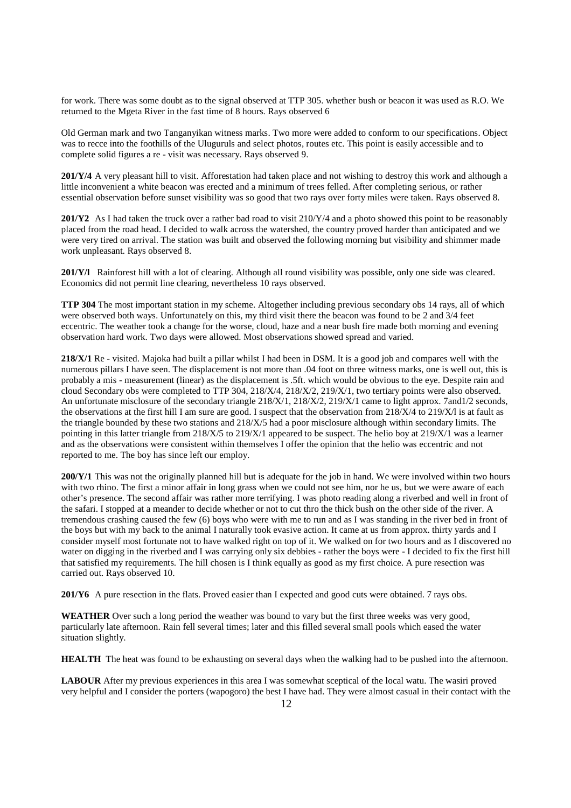for work. There was some doubt as to the signal observed at TTP 305. whether bush or beacon it was used as R.O. We returned to the Mgeta River in the fast time of 8 hours. Rays observed 6

Old German mark and two Tanganyikan witness marks. Two more were added to conform to our specifications. Object was to recce into the foothills of the Uluguruls and select photos, routes etc. This point is easily accessible and to complete solid figures a re - visit was necessary. Rays observed 9.

**201/Y/4** A very pleasant hill to visit. Afforestation had taken place and not wishing to destroy this work and although a little inconvenient a white beacon was erected and a minimum of trees felled. After completing serious, or rather essential observation before sunset visibility was so good that two rays over forty miles were taken. Rays observed 8.

**201/Y2** As I had taken the truck over a rather bad road to visit 210/Y/4 and a photo showed this point to be reasonably placed from the road head. I decided to walk across the watershed, the country proved harder than anticipated and we were very tired on arrival. The station was built and observed the following morning but visibility and shimmer made work unpleasant. Rays observed 8.

**201/Y/l** Rainforest hill with a lot of clearing. Although all round visibility was possible, only one side was cleared. Economics did not permit line clearing, nevertheless 10 rays observed.

**TTP 304** The most important station in my scheme. Altogether including previous secondary obs 14 rays, all of which were observed both ways. Unfortunately on this, my third visit there the beacon was found to be 2 and 3/4 feet eccentric. The weather took a change for the worse, cloud, haze and a near bush fire made both morning and evening observation hard work. Two days were allowed. Most observations showed spread and varied.

**218/X/1** Re - visited. Majoka had built a pillar whilst I had been in DSM. It is a good job and compares well with the numerous pillars I have seen. The displacement is not more than .04 foot on three witness marks, one is well out, this is probably a mis - measurement (linear) as the displacement is .5ft. which would be obvious to the eye. Despite rain and cloud Secondary obs were completed to TTP 304, 218/X/4, 218/X/2, 219/X/1, two tertiary points were also observed. An unfortunate misclosure of the secondary triangle 218/X/1, 218/X/2, 219/X/1 came to light approx. 7and1/2 seconds, the observations at the first hill I am sure are good. I suspect that the observation from 218/X/4 to 219/X/l is at fault as the triangle bounded by these two stations and 218/X/5 had a poor misclosure although within secondary limits. The pointing in this latter triangle from 218/X/5 to 219/X/1 appeared to be suspect. The helio boy at 219/X/1 was a learner and as the observations were consistent within themselves I offer the opinion that the helio was eccentric and not reported to me. The boy has since left our employ.

**200/Y/1** This was not the originally planned hill but is adequate for the job in hand. We were involved within two hours with two rhino. The first a minor affair in long grass when we could not see him, nor he us, but we were aware of each other's presence. The second affair was rather more terrifying. I was photo reading along a riverbed and well in front of the safari. I stopped at a meander to decide whether or not to cut thro the thick bush on the other side of the river. A tremendous crashing caused the few (6) boys who were with me to run and as I was standing in the river bed in front of the boys but with my back to the animal I naturally took evasive action. It came at us from approx. thirty yards and I consider myself most fortunate not to have walked right on top of it. We walked on for two hours and as I discovered no water on digging in the riverbed and I was carrying only six debbies - rather the boys were - I decided to fix the first hill that satisfied my requirements. The hill chosen is I think equally as good as my first choice. A pure resection was carried out. Rays observed 10.

**201/Y6** A pure resection in the flats. Proved easier than I expected and good cuts were obtained. 7 rays obs.

**WEATHER** Over such a long period the weather was bound to vary but the first three weeks was very good, particularly late afternoon. Rain fell several times; later and this filled several small pools which eased the water situation slightly.

**HEALTH** The heat was found to be exhausting on several days when the walking had to be pushed into the afternoon.

**LABOUR** After my previous experiences in this area I was somewhat sceptical of the local watu. The wasiri proved very helpful and I consider the porters (wapogoro) the best I have had. They were almost casual in their contact with the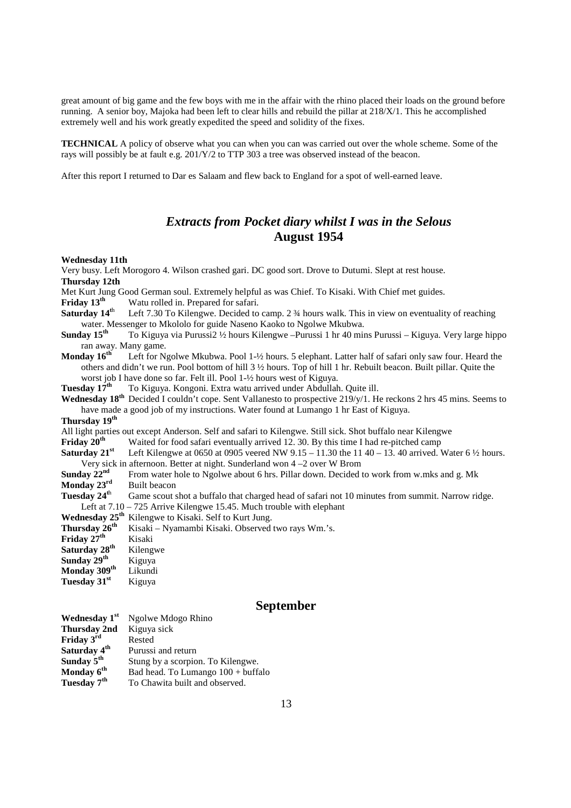great amount of big game and the few boys with me in the affair with the rhino placed their loads on the ground before running. A senior boy, Majoka had been left to clear hills and rebuild the pillar at 218/X/1. This he accomplished extremely well and his work greatly expedited the speed and solidity of the fixes.

**TECHNICAL** A policy of observe what you can when you can was carried out over the whole scheme. Some of the rays will possibly be at fault e.g. 201/Y/2 to TTP 303 a tree was observed instead of the beacon.

After this report I returned to Dar es Salaam and flew back to England for a spot of well-earned leave.

## *Extracts from Pocket diary whilst I was in the Selous*  **August 1954**

#### **Wednesday 11th**

Very busy. Left Morogoro 4. Wilson crashed gari. DC good sort. Drove to Dutumi. Slept at rest house. **Thursday 12th** 

Met Kurt Jung Good German soul. Extremely helpful as was Chief. To Kisaki. With Chief met guides.

**Friday 13<sup>th</sup>** Watu rolled in. Prepared for safari.

- **Saturday 14<sup>t</sup>**<sup>h</sup> Left 7.30 To Kilengwe. Decided to camp. 2 ¾ hours walk. This in view on eventuality of reaching water. Messenger to Mkololo for guide Naseno Kaoko to Ngolwe Mkubwa.
- **Sunday 15<sup>th</sup>** To Kiguya via Purussi2 ½ hours Kilengwe –Purussi 1 hr 40 mins Purussi Kiguya. Very large hippo ran away. Many game.
- **Monday 16<sup>th</sup>** Left for Ngolwe Mkubwa. Pool 1-½ hours. 5 elephant. Latter half of safari only saw four. Heard the others and didn't we run. Pool bottom of hill 3 ½ hours. Top of hill 1 hr. Rebuilt beacon. Built pillar. Quite the

worst job I have done so far. Felt ill. Pool 1-½ hours west of Kiguya.<br>Tuesday 17<sup>th</sup> To Kiguya. Kongoni. Extra watu arrived under Abdullah To Kiguya. Kongoni. Extra watu arrived under Abdullah. Quite ill.

- **Wednesday 18th** Decided I couldn't cope. Sent Vallanesto to prospective 219/y/1. He reckons 2 hrs 45 mins. Seems to have made a good job of my instructions. Water found at Lumango 1 hr East of Kiguya.
- **Thursday 19th**

All light parties out except Anderson. Self and safari to Kilengwe. Still sick. Shot buffalo near Kilengwe<br>**Friday 20<sup>th</sup>** Waited for food safari eventually arrived 12. 30. By this time I had re-pitched camp

Waited for food safari eventually arrived 12. 30. By this time I had re-pitched camp

**Saturday 21<sup>st</sup>** Left Kilengwe at 0650 at 0905 veered NW 9.15 – 11.30 the 11 40 – 13. 40 arrived. Water 6  $\frac{1}{2}$  hours. Very sick in afternoon. Better at night. Sunderland won  $4 - 2$  over W Brom **Sunday 22<sup>nd</sup>** From water hole to Ngolwe about 6 hrs. Pillar down. Decided to

From water hole to Ngolwe about 6 hrs. Pillar down. Decided to work from w.mks and g. Mk **Monday 23<sup>rd</sup>** Built beacon

**Tuesday 24<sup>t</sup>**<sup>h</sup> Game scout shot a buffalo that charged head of safari not 10 minutes from summit. Narrow ridge.

Left at 7.10 – 725 Arrive Kilengwe 15.45. Much trouble with elephant

- 
- Wednesday 25<sup>th</sup> Kilengwe to Kisaki. Self to Kurt Jung.<br>Thursday 26<sup>th</sup> Kisaki Nyamambi Kisaki. Observed Kisaki – Nyamambi Kisaki. Observed two rays Wm.'s.

**Friday 27th** Kisaki **Saturday 28th** Kilengwe

**Sunday 29<sup>th</sup>** Kiguya<br>**Monday 309<sup>th</sup>** Likundi **Monday 309<sup>th</sup>** 

Tuesday 31<sup>st</sup> Kiguya

## **September**

| Wednesday 1st            | Ngolwe Mdogo Rhino                         |
|--------------------------|--------------------------------------------|
| Thursday 2nd             | Kiguya sick                                |
| Friday 3 <sup>rd</sup>   | Rested                                     |
| Saturday 4 <sup>th</sup> | Purussi and return                         |
| Sunday 5 <sup>th</sup>   | Stung by a scorpion. To Kilengwe.          |
| Monday 6 <sup>th</sup>   | Bad head. To Lumango $100 + \text{buffer}$ |
| Tuesday 7 <sup>th</sup>  | To Chawita built and observed.             |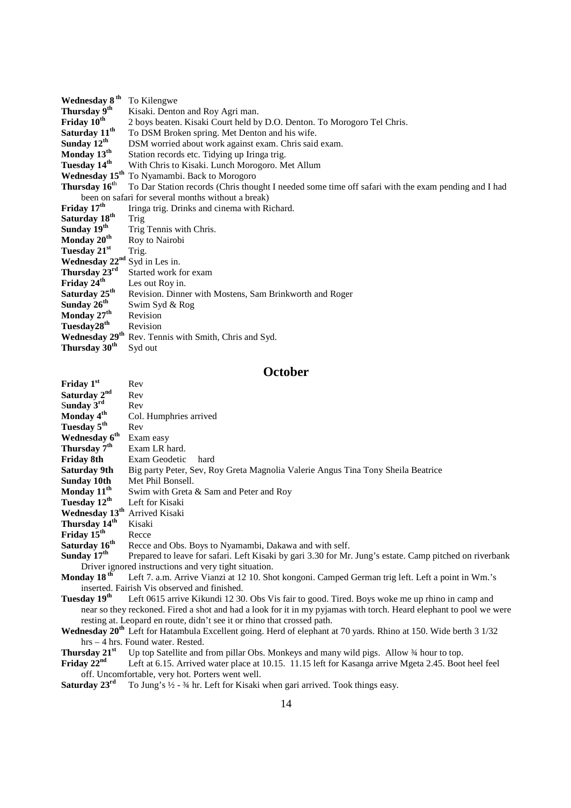| Wednesday 8 <sup>th</sup>  | To Kilengwe                                                                                         |
|----------------------------|-----------------------------------------------------------------------------------------------------|
| Thursday 9 <sup>th</sup>   | Kisaki. Denton and Roy Agri man.                                                                    |
| Friday 10 <sup>th</sup>    | 2 boys beaten. Kisaki Court held by D.O. Denton. To Morogoro Tel Chris.                             |
| Saturday 11 <sup>th</sup>  | To DSM Broken spring. Met Denton and his wife.                                                      |
| Sunday $12^{th}$           | DSM worried about work against exam. Chris said exam.                                               |
| Monday $13^{th}$           | Station records etc. Tidying up Iringa trig.                                                        |
| Tuesday 14 <sup>th</sup>   | With Chris to Kisaki. Lunch Morogoro. Met Allum                                                     |
|                            | Wednesday 15 <sup>th</sup> To Nyamambi. Back to Morogoro                                            |
| Thursday 16 <sup>th</sup>  | To Dar Station records (Chris thought I needed some time off safari with the exam pending and I had |
|                            | been on safari for several months without a break)                                                  |
| Friday 17 <sup>th</sup>    | Iringa trig. Drinks and cinema with Richard.                                                        |
| Saturday 18 <sup>th</sup>  | Trig                                                                                                |
| Sunday $19th$              | Trig Tennis with Chris.                                                                             |
| Monday 20 <sup>th</sup>    | Roy to Nairobi                                                                                      |
| Tuesday 21 <sup>st</sup>   | Trig.                                                                                               |
| Wednesday 22 <sup>nd</sup> | Syd in Les in.                                                                                      |
| Thursday 23rd              | Started work for exam                                                                               |
| Friday 24 <sup>th</sup>    | Les out Roy in.                                                                                     |
| Saturday 25 <sup>th</sup>  | Revision. Dinner with Mostens, Sam Brinkworth and Roger                                             |
| Sunday 26 <sup>th</sup>    | Swim Syd & Rog                                                                                      |
| Monday 27 <sup>th</sup>    | Revision                                                                                            |
| Tuesday28 <sup>th</sup>    | Revision                                                                                            |
| Wednesday 29 <sup>th</sup> | Rev. Tennis with Smith, Chris and Syd.                                                              |
| Thursday 30 <sup>th</sup>  | Syd out                                                                                             |
|                            |                                                                                                     |

## **October**

| Friday $1st$                                                                                                       | Rev                                                                                                                          |
|--------------------------------------------------------------------------------------------------------------------|------------------------------------------------------------------------------------------------------------------------------|
| Saturday 2 <sup>nd</sup>                                                                                           | Rev                                                                                                                          |
| Sunday $3rd$                                                                                                       | Rev                                                                                                                          |
| Monday 4 <sup>th</sup>                                                                                             | Col. Humphries arrived                                                                                                       |
| Tuesday 5 <sup>th</sup>                                                                                            | Rev                                                                                                                          |
| Wednesday 6 <sup>th</sup>                                                                                          | Exam easy                                                                                                                    |
| Thursday 7 <sup>th</sup>                                                                                           | Exam LR hard.                                                                                                                |
| Friday 8th                                                                                                         | Exam Geodetic<br>hard                                                                                                        |
| <b>Saturday 9th</b>                                                                                                | Big party Peter, Sev, Roy Greta Magnolia Valerie Angus Tina Tony Sheila Beatrice                                             |
| <b>Sunday 10th</b>                                                                                                 | Met Phil Bonsell.                                                                                                            |
| Monday 11 <sup>th</sup>                                                                                            | Swim with Greta & Sam and Peter and Roy                                                                                      |
| Tuesday 12 <sup>th</sup>                                                                                           | Left for Kisaki                                                                                                              |
| Wednesday 13 <sup>th</sup> Arrived Kisaki                                                                          |                                                                                                                              |
| Thursday 14 <sup>th</sup>                                                                                          | Kisaki                                                                                                                       |
| Friday 15 <sup>th</sup>                                                                                            | Recce                                                                                                                        |
| Saturday 16 <sup>th</sup>                                                                                          | Recce and Obs. Boys to Nyamambi, Dakawa and with self.                                                                       |
| Sunday $17^{\text{th}}$                                                                                            | Prepared to leave for safari. Left Kisaki by gari 3.30 for Mr. Jung's estate. Camp pitched on riverbank                      |
|                                                                                                                    | Driver ignored instructions and very tight situation.                                                                        |
| Monday 18 <sup>th</sup>                                                                                            | Left 7. a.m. Arrive Vianzi at 12 10. Shot kongoni. Camped German trig left. Left a point in Wm.'s                            |
| inserted. Fairish Vis observed and finished.                                                                       |                                                                                                                              |
| Tuesdav 19 <sup>th</sup>                                                                                           | Left 0615 arrive Kikundi 12 30. Obs Vis fair to good. Tired. Boys woke me up rhino in camp and                               |
| near so they reckoned. Fired a shot and had a look for it in my pyjamas with torch. Heard elephant to pool we were |                                                                                                                              |
|                                                                                                                    | resting at. Leopard en route, didn't see it or rhino that crossed path.                                                      |
|                                                                                                                    | Wednesday 20 <sup>th</sup> Left for Hatambula Excellent going. Herd of elephant at 70 yards. Rhino at 150. Wide berth 3 1/32 |
| $hrs - 4 hrs$ . Found water, Rested.                                                                               |                                                                                                                              |
| Thursday 21 <sup>st</sup>                                                                                          | Up top Satellite and from pillar Obs. Monkeys and many wild pigs. Allow 34 hour to top.                                      |
| Friday $22nd$                                                                                                      | Left at 6.15. Arrived water place at 10.15. 11.15 left for Kasanga arrive Mgeta 2.45. Boot heel feel                         |
|                                                                                                                    | off. Uncomfortable, very hot. Porters went well.                                                                             |

**Saturday 23<sup>rd</sup>** To Jung's ½ - ¾ hr. Left for Kisaki when gari arrived. Took things easy.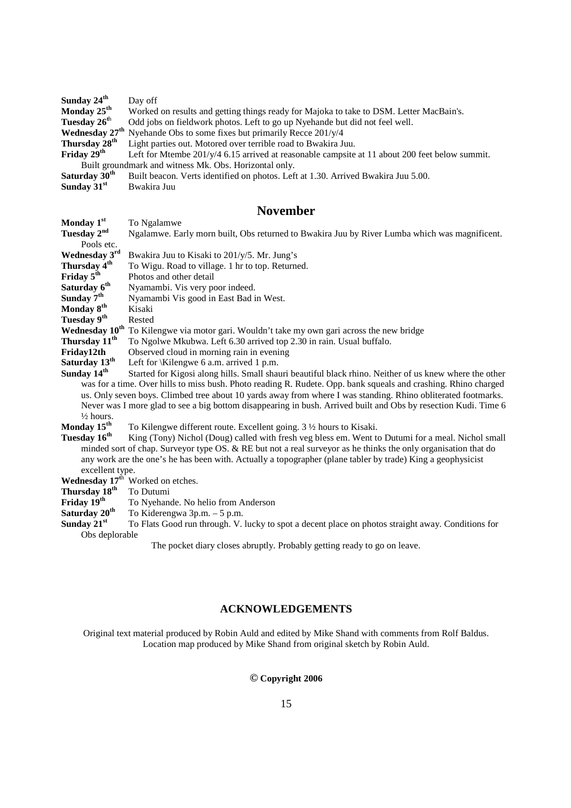| Sunday $24th$                                          | Day off                                                                                               |
|--------------------------------------------------------|-------------------------------------------------------------------------------------------------------|
| Monday $25^{\text{th}}$                                | Worked on results and getting things ready for Majoka to take to DSM. Letter MacBain's.               |
| Tuesday 26 <sup>th</sup>                               | Odd jobs on fieldwork photos. Left to go up Nyehande but did not feel well.                           |
|                                                        | <b>Wednesday 27<sup>th</sup></b> Nyehande Obs to some fixes but primarily Recce $201/\gamma/4$        |
| Thursday 28 <sup>th</sup>                              | Light parties out. Motored over terrible road to Bwakira Juu.                                         |
| Friday $29th$                                          | Left for Mtembe $201/\gamma/4$ 6.15 arrived at reasonable campsite at 11 about 200 feet below summit. |
| Built groundmark and witness Mk. Obs. Horizontal only. |                                                                                                       |
| Saturday 30 <sup>th</sup>                              | Built beacon. Verts identified on photos. Left at 1.30. Arrived Bwakira Juu 5.00.                     |
| Sunday $31st$                                          | Bwakira Juu                                                                                           |

## **November**

|                                                                                                               | TIOILIIDLI                                                                                                      |
|---------------------------------------------------------------------------------------------------------------|-----------------------------------------------------------------------------------------------------------------|
| Monday 1st                                                                                                    | To Ngalamwe                                                                                                     |
| Tuesday 2 <sup>nd</sup>                                                                                       | Ngalamwe. Early morn built, Obs returned to Bwakira Juu by River Lumba which was magnificent.                   |
| Pools etc.                                                                                                    |                                                                                                                 |
| Wednesday 3rd                                                                                                 | Bwakira Juu to Kisaki to 201/y/5. Mr. Jung's                                                                    |
| Thursday 4 <sup>th</sup>                                                                                      | To Wigu. Road to village. 1 hr to top. Returned.                                                                |
| Friday 5 <sup>th</sup>                                                                                        | Photos and other detail                                                                                         |
| Saturday 6 <sup>th</sup>                                                                                      | Nyamambi. Vis very poor indeed.                                                                                 |
| Sunday 7 <sup>th</sup>                                                                                        | Nyamambi Vis good in East Bad in West.                                                                          |
| Monday 8 <sup>th</sup>                                                                                        | Kisaki                                                                                                          |
| Tuesday 9 <sup>th</sup>                                                                                       | Rested                                                                                                          |
|                                                                                                               | Wednesday 10 <sup>th</sup> To Kilengwe via motor gari. Wouldn't take my own gari across the new bridge          |
| Thursday 11 <sup>th</sup>                                                                                     | To Ngolwe Mkubwa. Left 6.30 arrived top 2.30 in rain. Usual buffalo.                                            |
| Friday12th                                                                                                    | Observed cloud in morning rain in evening                                                                       |
| Saturday 13 <sup>th</sup>                                                                                     | Left for \Kilengwe 6 a.m. arrived 1 p.m.                                                                        |
| Sunday 14 <sup>th</sup>                                                                                       | Started for Kigosi along hills. Small shauri beautiful black rhino. Neither of us knew where the other          |
|                                                                                                               | was for a time. Over hills to miss bush. Photo reading R. Rudete. Opp. bank squeals and crashing. Rhino charged |
| us. Only seven boys. Climbed tree about 10 yards away from where I was standing. Rhino obliterated footmarks. |                                                                                                                 |
|                                                                                                               | Never was I more glad to see a big bottom disappearing in bush. Arrived built and Obs by resection Kudi. Time 6 |
| $\frac{1}{2}$ hours.                                                                                          |                                                                                                                 |
| Monday 15 <sup>th</sup>                                                                                       | To Kilengwe different route. Excellent going. 3 1/2 hours to Kisaki.                                            |
| Tuesday 16 <sup>th</sup>                                                                                      | King (Tony) Nichol (Doug) called with fresh veg bless em. Went to Dutumi for a meal. Nichol small               |
|                                                                                                               | minded sort of chap. Surveyor type OS. & RE but not a real surveyor as he thinks the only organisation that do  |
|                                                                                                               | any work are the one's he has been with. Actually a topographer (plane tabler by trade) King a geophysicist     |
| excellent type.                                                                                               |                                                                                                                 |
|                                                                                                               | Wednesday 17 <sup>th</sup> Worked on etches.                                                                    |
| Thursday 18 <sup>th</sup>                                                                                     | To Dutumi                                                                                                       |
| Friday $19th$                                                                                                 | To Nyehande. No helio from Anderson                                                                             |
| $\alpha$ i anthenry                                                                                           |                                                                                                                 |

**Saturday 20<sup>th</sup>** To Kiderengwa 3p.m. – 5 p.m.<br>**Sunday 21<sup>st</sup>** To Flats Good run through. V.

To Flats Good run through. V. lucky to spot a decent place on photos straight away. Conditions for Obs deplorable

The pocket diary closes abruptly. Probably getting ready to go on leave.

## **ACKNOWLEDGEMENTS**

Original text material produced by Robin Auld and edited by Mike Shand with comments from Rolf Baldus. Location map produced by Mike Shand from original sketch by Robin Auld.

## **© Copyright 2006**